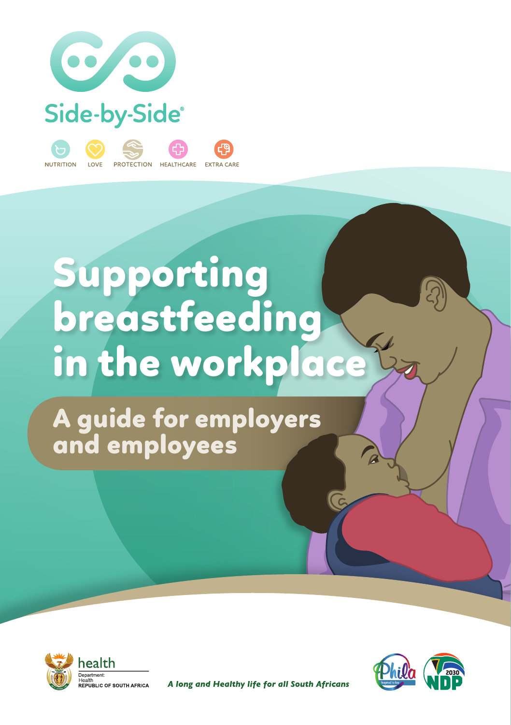

# Supporting breastfeeding in the workplace

A guide for employers and employees





A long and Healthy life for all South Africans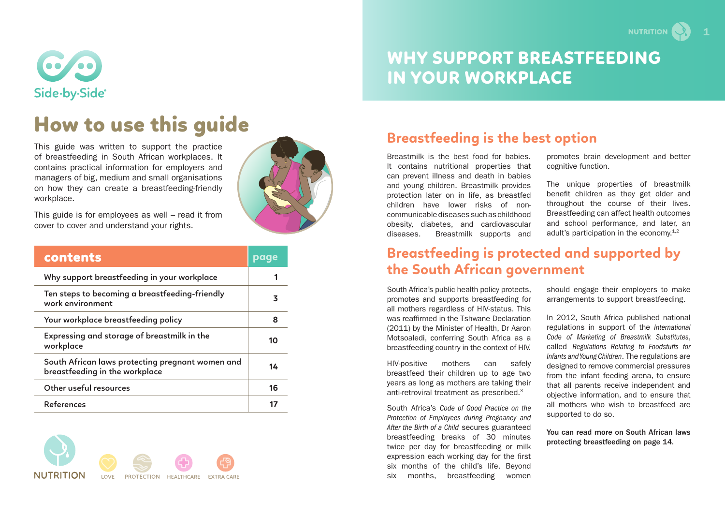

# How to use this guide

This guide was written to support the practice of breastfeeding in South African workplaces. It contains practical information for employers and managers of big, medium and small organisations on how they can create a breastfeeding-friendly workplace.



| contents                                                                           | page |
|------------------------------------------------------------------------------------|------|
| Why support breastfeeding in your workplace                                        |      |
| Ten steps to becoming a breastfeeding-friendly<br>work environment                 | 3    |
| Your workplace breastfeeding policy                                                | 8    |
| Expressing and storage of breastmilk in the<br>workplace                           | 10   |
| South African laws protecting pregnant women and<br>breastfeeding in the workplace | 14   |
| Other useful resources                                                             | 16   |
| References                                                                         |      |





# WHY SUPPORT BREASTFEEDING IN YOUR WORKPLACE

### **Breastfeeding is the best option**

Breastmilk is the best food for babies. It contains nutritional properties that can prevent illness and death in babies and young children. Breastmilk provides protection later on in life, as breastfed children have lower risks of noncommunicable diseases such as childhood obesity, diabetes, and cardiovascular diseases. Breastmilk supports and promotes brain development and better cognitive function.

The unique properties of breastmilk benefit children as they get older and throughout the course of their lives. Breastfeeding can affect health outcomes and school performance, and later, an adult's participation in the economy.1,2

### **Breastfeeding is protected and supported by the South African government**

South Africa's public health policy protects, promotes and supports breastfeeding for all mothers regardless of HIV-status. This was reaffirmed in the Tshwane Declaration (2011) by the Minister of Health, Dr Aaron Motsoaledi, conferring South Africa as a breastfeeding country in the context of HIV.

HIV-positive mothers can safely breastfeed their children up to age two years as long as mothers are taking their anti-retroviral treatment as prescribed.3

South Africa's *Code of Good Practice on the Protection of Employees during Pregnancy and After the Birth of a Child* secures guaranteed breastfeeding breaks of 30 minutes twice per day for breastfeeding or milk expression each working day for the first six months of the child's life. Beyond six months, breastfeeding women should engage their employers to make arrangements to support breastfeeding.

In 2012, South Africa published national regulations in support of the *International Code of Marketing of Breastmilk Substitutes*, called *Regulations Relating to Foodstuffs for Infants and Young Children*. The regulations are designed to remove commercial pressures from the infant feeding arena, to ensure that all parents receive independent and objective information, and to ensure that all mothers who wish to breastfeed are supported to do so.

You can read more on South African laws protecting breastfeeding on page 14.

**NUTRITION**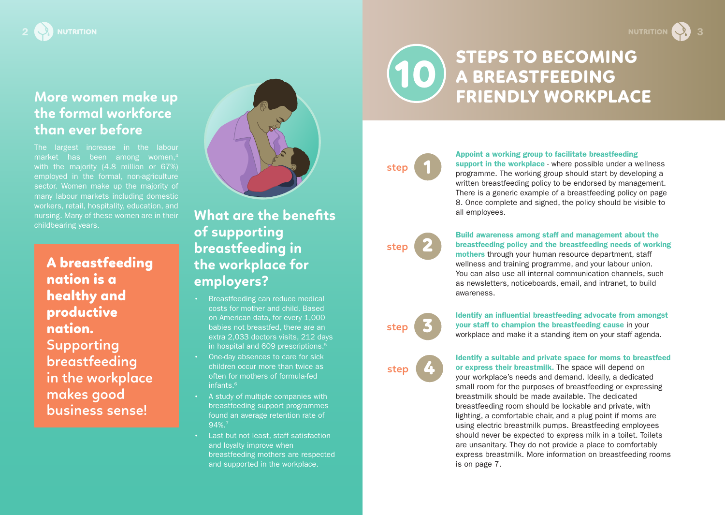# **More women make up the formal workforce than ever before**

The largest increase in the labour market has been among women.<sup>4</sup> with the majority (4.8 million or 67%) employed in the formal, non-agriculture sector. Women make up the majority of many labour markets including domestic workers, retail, hospitality, education, and nursing. Many of these women are in their childbearing years.

A breastfeeding nation is a healthy and productive nation. **Supporting breastfeeding in the workplace makes good business sense!**



# **What are the benefits of supporting breastfeeding in the workplace for employers?**

- Breastfeeding can reduce medical costs for mother and child. Based on American data, for every 1,000 babies not breastfed, there are an extra 2,033 doctors visits, 212 days in hospital and 609 prescriptions.<sup>5</sup>
- One-day absences to care for sick children occur more than twice as often for mothers of formula-fed infants $6$
- A study of multiple companies with breastfeeding support programmes found an average retention rate of 94%.7
- Last but not least, staff satisfaction and loyalty improve when breastfeeding mothers are respected and supported in the workplace.

### STEPS TO BECOMING A BREASTFEEDING FRIENDLY WORKPLACE 10

### 1 **step**

#### Appoint a working group to facilitate breastfeeding

support in the workplace - where possible under a wellness programme. The working group should start by developing a written breastfeeding policy to be endorsed by management. There is a generic example of a breastfeeding policy on page 8. Once complete and signed, the policy should be visible to all employees.

### 2 **step**

#### Build awareness among staff and management about the breastfeeding policy and the breastfeeding needs of working mothers through your human resource department, staff wellness and training programme, and your labour union. You can also use all internal communication channels, such as newsletters, noticeboards, email, and intranet, to build

3 **step**

awareness.

Identify an influential breastfeeding advocate from amongst your staff to champion the breastfeeding cause in your workplace and make it a standing item on your staff agenda.

### 4 **step**

Identify a suitable and private space for moms to breastfeed or express their breastmilk. The space will depend on your workplace's needs and demand. Ideally, a dedicated small room for the purposes of breastfeeding or expressing breastmilk should be made available. The dedicated breastfeeding room should be lockable and private, with lighting, a comfortable chair, and a plug point if moms are using electric breastmilk pumps. Breastfeeding employees should never be expected to express milk in a toilet. Toilets are unsanitary. They do not provide a place to comfortably express breastmilk. More information on breastfeeding rooms is on page 7.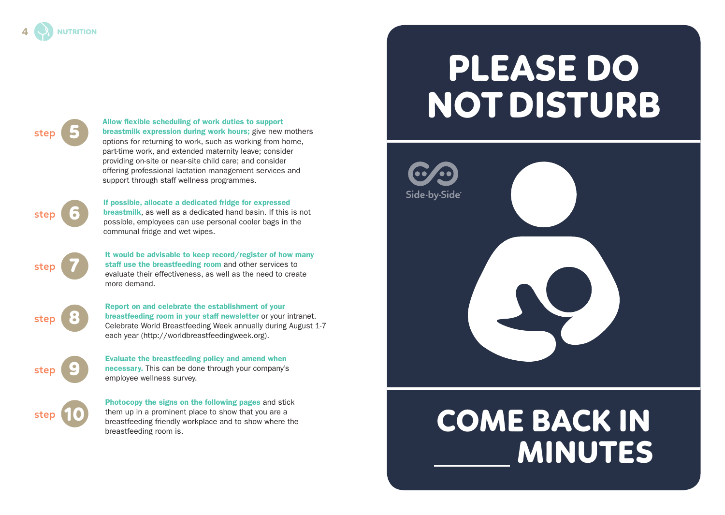#### Allow flexible scheduling of work duties to support<br>breastmilk expression during work hours; give new mothers<br>options for returning to work, such as working from home options for returning to work, such as working from home, part-time work, and extended maternity leave; consider providing on-site or near-site child care; and consider offering professional lactation management services and support through staff wellness programmes.

6 **step**

**step**

**step**

**step**

7

8

10

If possible, allocate a dedicated fridge for expressed breastmilk, as well as a dedicated hand basin. If this is not possible, employees can use personal cooler bags in the communal fridge and wet wipes.

It would be advisable to keep record/register of how many staff use the breastfeeding room and other services to evaluate their effectiveness, as well as the need to create more demand.

Report on and celebrate the establishment of your breastfeeding room in your staff newsletter or your intranet. Celebrate World Breastfeeding Week annually during August 1-7 each year (http://worldbreastfeedingweek.org).

9 **step**

Evaluate the breastfeeding policy and amend when necessary. This can be done through your company's employee wellness survey.

Photocopy the signs on the following pages and stick them up in a prominent place to show that you are a breastfeeding friendly workplace and to show where the breastfeeding room is.

# PLEASE DO NOT DISTURB





4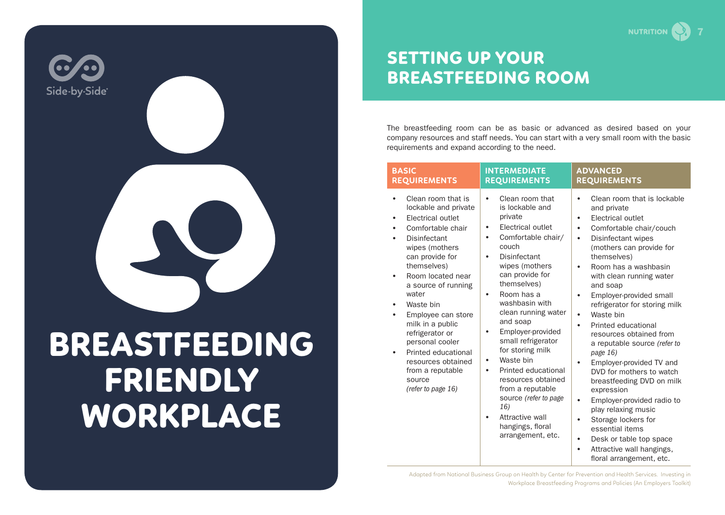

# BREASTFEEDING FRIENDLY WORKPLACE

# SETTING UP YOUR BREASTFEEDING ROOM

The breastfeeding room can be as basic or advanced as desired based on your company resources and staff needs. You can start with a very small room with the basic requirements and expand according to the need.

7

**NUTRITION** 

| <b>BASIC</b>                                                                                                                                                                                                                                                                                                                                                                                                                                                                                                               | <b>INTERMEDIATE</b>                                                                                                                                                                                                                                                                                                                                                                                                                                                                                                                                                    | <b>ADVANCED</b>                                                                                                                                                                                                                                                                                                                                                                                                                                                                                                                                                                                                                                                                                                                                                                                                                                           |
|----------------------------------------------------------------------------------------------------------------------------------------------------------------------------------------------------------------------------------------------------------------------------------------------------------------------------------------------------------------------------------------------------------------------------------------------------------------------------------------------------------------------------|------------------------------------------------------------------------------------------------------------------------------------------------------------------------------------------------------------------------------------------------------------------------------------------------------------------------------------------------------------------------------------------------------------------------------------------------------------------------------------------------------------------------------------------------------------------------|-----------------------------------------------------------------------------------------------------------------------------------------------------------------------------------------------------------------------------------------------------------------------------------------------------------------------------------------------------------------------------------------------------------------------------------------------------------------------------------------------------------------------------------------------------------------------------------------------------------------------------------------------------------------------------------------------------------------------------------------------------------------------------------------------------------------------------------------------------------|
| <b>REQUIREMENTS</b>                                                                                                                                                                                                                                                                                                                                                                                                                                                                                                        | <b>REQUIREMENTS</b>                                                                                                                                                                                                                                                                                                                                                                                                                                                                                                                                                    | <b>REQUIREMENTS</b>                                                                                                                                                                                                                                                                                                                                                                                                                                                                                                                                                                                                                                                                                                                                                                                                                                       |
| Clean room that is<br>$\bullet$<br>lockable and private<br><b>Electrical outlet</b><br>$\bullet$<br>Comfortable chair<br>$\bullet$<br>Disinfectant<br>$\bullet$<br>wipes (mothers<br>can provide for<br>themselves)<br>Room located near<br>$\bullet$<br>a source of running<br>water<br>Waste bin<br>$\bullet$<br>Employee can store<br>$\bullet$<br>milk in a public<br>refrigerator or<br>personal cooler<br>Printed educational<br>$\bullet$<br>resources obtained<br>from a reputable<br>source<br>(refer to page 16) | Clean room that<br>$\bullet$<br>is lockable and<br>private<br>Electrical outlet<br>$\bullet$<br>Comfortable chair/<br>$\bullet$<br>couch<br>Disinfectant<br>$\bullet$<br>wipes (mothers<br>can provide for<br>themselves)<br>Room has a<br>$\bullet$<br>washbasin with<br>clean running water<br>and soap<br>Employer-provided<br>٠<br>small refrigerator<br>for storing milk<br>Waste bin<br>٠<br>Printed educational<br>٠<br>resources obtained<br>from a reputable<br>source (refer to page<br>16)<br>Attractive wall<br>٠<br>hangings, floral<br>arrangement, etc. | Clean room that is lockable<br>$\bullet$<br>and private<br>Electrical outlet<br>$\bullet$<br>Comfortable chair/couch<br>$\bullet$<br>Disinfectant wipes<br>$\bullet$<br>(mothers can provide for<br>themselves)<br>Room has a washbasin<br>$\bullet$<br>with clean running water<br>and soap<br>Employer-provided small<br>$\bullet$<br>refrigerator for storing milk<br>Waste bin<br>$\bullet$<br>Printed educational<br>$\bullet$<br>resources obtained from<br>a reputable source (refer to<br>page 16)<br>Employer-provided TV and<br>$\bullet$<br>DVD for mothers to watch<br>breastfeeding DVD on milk<br>expression<br>Employer-provided radio to<br>$\bullet$<br>play relaxing music<br>Storage lockers for<br>٠<br>essential items<br>Desk or table top space<br>$\bullet$<br>Attractive wall hangings,<br>$\bullet$<br>floral arrangement, etc. |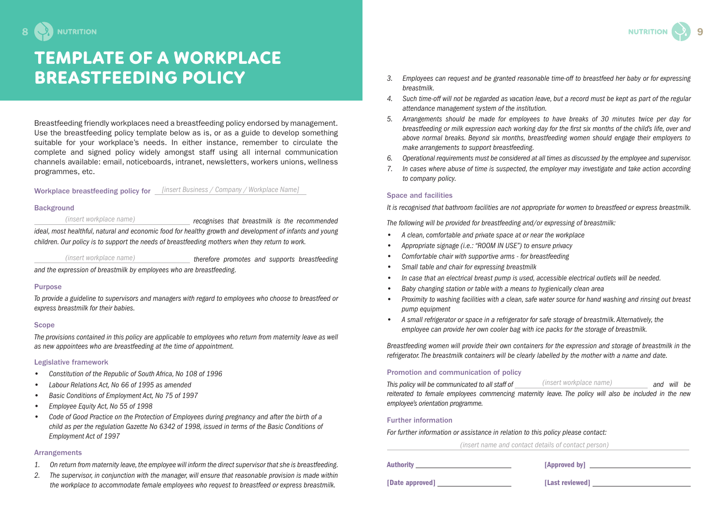# TEMPLATE OF A WORKPLACE BREASTFEEDING POLICY

Breastfeeding friendly workplaces need a breastfeeding policy endorsed by management. Use the breastfeeding policy template below as is, or as a guide to develop something suitable for your workplace's needs. In either instance, remember to circulate the complete and signed policy widely amongst staff using all internal communication channels available: email, noticeboards, intranet, newsletters, workers unions, wellness programmes, etc.

#### Workplace breastfeeding policy for *[insert Business / Company / Workplace Name]*

#### Background

*(insert workplace name) recognises that breastmilk is the recommended ideal, most healthful, natural and economic food for healthy growth and development of infants and young children. Our policy is to support the needs of breastfeeding mothers when they return to work.* 

*(insert workplace name) therefore promotes and supports breastfeeding* 

*and the expression of breastmilk by employees who are breastfeeding.* 

#### Purpose

*To provide a guideline to supervisors and managers with regard to employees who choose to breastfeed or express breastmilk for their babies.*

#### **Scope**

*The provisions contained in this policy are applicable to employees who return from maternity leave as well as new appointees who are breastfeeding at the time of appointment.* 

#### Legislative framework

- *Constitution of the Republic of South Africa, No 108 of 1996*
- *Labour Relations Act, No 66 of 1995 as amended*
- *Basic Conditions of Employment Act, No 75 of 1997*
- *Employee Equity Act, No 55 of 1998*
- *Code of Good Practice on the Protection of Employees during pregnancy and after the birth of a child as per the regulation Gazette No 6342 of 1998, issued in terms of the Basic Conditions of Employment Act of 1997*

#### Arrangements

- *1. On return from maternity leave, the employee will inform the direct supervisor that she is breastfeeding.*
- *2. The supervisor, in conjunction with the manager, will ensure that reasonable provision is made within the workplace to accommodate female employees who request to breastfeed or express breastmilk.*
- *3. Employees can request and be granted reasonable time-off to breastfeed her baby or for expressing breastmilk.*
- *4. Such time-off will not be regarded as vacation leave, but a record must be kept as part of the regular attendance management system of the institution.*
- *5. Arrangements should be made for employees to have breaks of 30 minutes twice per day for breastfeeding or milk expression each working day for the first six months of the child's life, over and above normal breaks. Beyond six months, breastfeeding women should engage their employers to make arrangements to support breastfeeding.*
- *6. Operational requirements must be considered at all times as discussed by the employee and supervisor.*
- *7. In cases where abuse of time is suspected, the employer may investigate and take action according to company policy.*

#### Space and facilities

*It is recognised that bathroom facilities are not appropriate for women to breastfeed or express breastmilk.*

*The following will be provided for breastfeeding and/or expressing of breastmilk:* 

- *A clean, comfortable and private space at or near the workplace*
- *Appropriate signage (i.e.: "ROOM IN USE") to ensure privacy*
- *Comfortable chair with supportive arms for breastfeeding*
- *Small table and chair for expressing breastmilk*
- *In case that an electrical breast pump is used, accessible electrical outlets will be needed.*
- *Baby changing station or table with a means to hygienically clean area*
- *Proximity to washing facilities with a clean, safe water source for hand washing and rinsing out breast pump equipment*
- *A small refrigerator or space in a refrigerator for safe storage of breastmilk. Alternatively, the employee can provide her own cooler bag with ice packs for the storage of breastmilk.*

*Breastfeeding women will provide their own containers for the expression and storage of breastmilk in the refrigerator. The breastmilk containers will be clearly labelled by the mother with a name and date.* 

#### Promotion and communication of policy

*This policy will be communicated to all staff of (insert workplace name)* **and will be** *reiterated to female employees commencing maternity leave. The policy will also be included in the new employee's orientation programme.*

#### Further information

*For further information or assistance in relation to this policy please contact:*

 *(insert name and contact details of contact person)* 

| <b>Authority</b> | [Approved by] |
|------------------|---------------|
|                  |               |

[Date approved] [Last reviewed]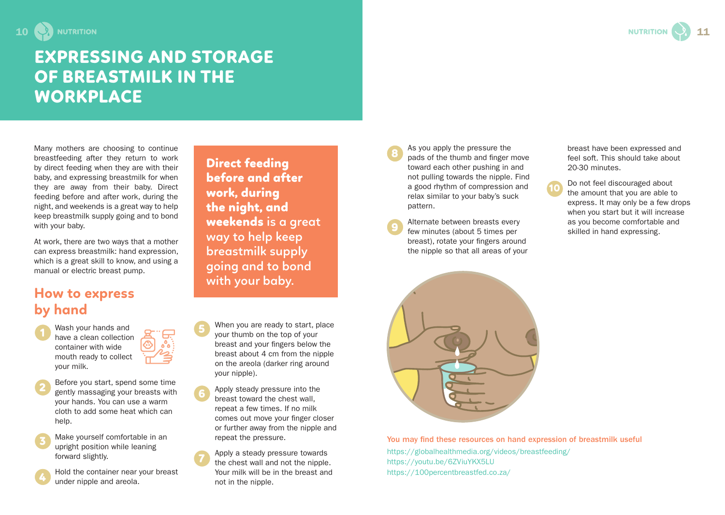

# EXPRESSING AND STORAGE OF BREASTMILK IN THE WORKPLACE

Many mothers are choosing to continue breastfeeding after they return to work by direct feeding when they are with their baby, and expressing breastmilk for when they are away from their baby. Direct feeding before and after work, during the night, and weekends is a great way to help keep breastmilk supply going and to bond with your baby.

At work, there are two ways that a mother can express breastmilk: hand expression, which is a great skill to know, and using a manual or electric breast pump.

## **How to express by hand**

Wash your hands and have a clean collection container with wide mouth ready to collect your milk.

Before you start, spend some time gently massaging your breasts with your hands. You can use a warm cloth to add some heat which can help. 2

Make yourself comfortable in an upright position while leaning forward slightly. 3

Hold the container near your breast under nipple and areola.

Direct feeding before and after work, during the night, and weekends **is a great way to help keep breastmilk supply going and to bond with your baby.**

- When you are ready to start, place your thumb on the top of your breast and your fingers below the breast about 4 cm from the nipple on the areola (darker ring around your nipple). 5
	- Apply steady pressure into the breast toward the chest wall, repeat a few times. If no milk comes out move your finger closer or further away from the nipple and repeat the pressure.

Apply a steady pressure towards the chest wall and not the nipple. Your milk will be in the breast and not in the nipple.

As you apply the pressure the pads of the thumb and finger move toward each other pushing in and not pulling towards the nipple. Find a good rhythm of compression and relax similar to your baby's suck pattern.

8

Alternate between breasts every **Alternate between breasts every** as you become comfortable and few minutes (about 5 times per salilled in hand expressing. breast), rotate your fingers around the nipple so that all areas of your



You may find these resources on hand expression of breastmilk useful https://globalhealthmedia.org/videos/breastfeeding/ https://youtu.be/6ZViuYKX5LU https://100percentbreastfed.co.za/

breast have been expressed and feel soft. This should take about 20-30 minutes.

Do not feel discouraged about the amount that you are able to express. It may only be a few drops when you start but it will increase 10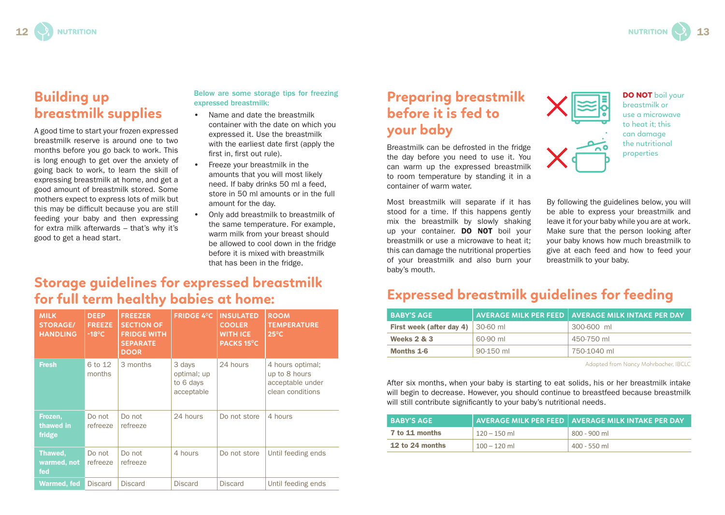# **Building up breastmilk supplies**

A good time to start your frozen expressed breastmilk reserve is around one to two months before you go back to work. This is long enough to get over the anxiety of going back to work, to learn the skill of expressing breastmilk at home, and get a good amount of breastmilk stored. Some mothers expect to express lots of milk but this may be difficult because you are still feeding your baby and then expressing for extra milk afterwards – that's why it's good to get a head start.

#### Below are some storage tips for freezing expressed breastmilk:

- Name and date the breastmilk container with the date on which you expressed it. Use the breastmilk with the earliest date first (apply the first in, first out rule).
- Freeze your breastmilk in the amounts that you will most likely need. If baby drinks 50 ml a feed, store in 50 ml amounts or in the full amount for the day.
- Only add breastmilk to breastmilk of the same temperature. For example, warm milk from your breast should be allowed to cool down in the fridge before it is mixed with breastmilk that has been in the fridge.

# **Storage guidelines for expressed breastmilk for full term healthy babies at home:**

| <b>MILK</b><br><b>STORAGE/</b><br><b>HANDLING</b> | <b>DEEP</b><br><b>FREEZE</b><br>$-18^{\circ}$ C | <b>FREEZER</b><br><b>SECTION OF</b><br><b>FRIDGE WITH</b><br><b>SEPARATE</b><br><b>DOOR</b> | <b>FRIDGE 4°C</b>                                | <b>INSULATED</b><br><b>COOLER</b><br><b>WITH ICE</b><br>PACKS 15°C | <b>ROOM</b><br><b>TEMPERATURE</b><br>$25^{\circ}$ C                       |
|---------------------------------------------------|-------------------------------------------------|---------------------------------------------------------------------------------------------|--------------------------------------------------|--------------------------------------------------------------------|---------------------------------------------------------------------------|
| <b>Fresh</b>                                      | 6 to 12<br>months                               | 3 months                                                                                    | 3 days<br>optimal; up<br>to 6 days<br>acceptable | 24 hours                                                           | 4 hours optimal;<br>up to 8 hours<br>acceptable under<br>clean conditions |
| Frozen,<br>thawed in<br>fridge                    | Do not<br>refreeze                              | Do not<br>refreeze                                                                          | 24 hours                                         | Do not store                                                       | 4 hours                                                                   |
| Thawed,<br>warmed, not<br>fed                     | Do not<br>refreeze                              | Do not<br>refreeze                                                                          | 4 hours                                          | Do not store                                                       | Until feeding ends                                                        |
| <b>Warmed, fed</b>                                | <b>Discard</b>                                  | <b>Discard</b>                                                                              | <b>Discard</b>                                   | <b>Discard</b>                                                     | Until feeding ends                                                        |

# **Preparing breastmilk before it is fed to your baby**

Breastmilk can be defrosted in the fridge the day before you need to use it. You can warm up the expressed breastmilk to room temperature by standing it in a container of warm water.

Most breastmilk will separate if it has stood for a time. If this happens gently mix the breastmilk by slowly shaking up your container. **DO NOT** boil your breastmilk or use a microwave to heat it; this can damage the nutritional properties of your breastmilk and also burn your baby's mouth.



DO NOT boil your breastmilk or use a microwave to heat it; this can damage the nutritional properties

By following the guidelines below, you will be able to express your breastmilk and leave it for your baby while you are at work. Make sure that the person looking after your baby knows how much breastmilk to give at each feed and how to feed your breastmilk to your baby.

## **Expressed breastmilk guidelines for feeding**

| <b>BABY'S AGE</b>        |                 | AVERAGE MILK PER FEED   AVERAGE MILK INTAKE PER DAY |
|--------------------------|-----------------|-----------------------------------------------------|
| First week (after day 4) | $\mid$ 30-60 ml | 300-600 ml                                          |
| Weeks $2 & 3$            | 60-90 ml        | 450-750 ml                                          |
| Months 1-6               | 90-150 ml       | 750-1040 ml                                         |

Adapted from Nancy Mohrbacher, IBCLC

After six months, when your baby is starting to eat solids, his or her breastmilk intake will begin to decrease. However, you should continue to breastfeed because breastmilk will still contribute significantly to your baby's nutritional needs.

| <b>BABY'S AGE</b> |                | AVERAGE MILK PER FEED   AVERAGE MILK INTAKE PER DAY |
|-------------------|----------------|-----------------------------------------------------|
| 7 to 11 months    | $120 - 150$ ml | $800 - 900$ ml                                      |
| 12 to 24 months   | $100 - 120$ ml | $400 - 550$ ml                                      |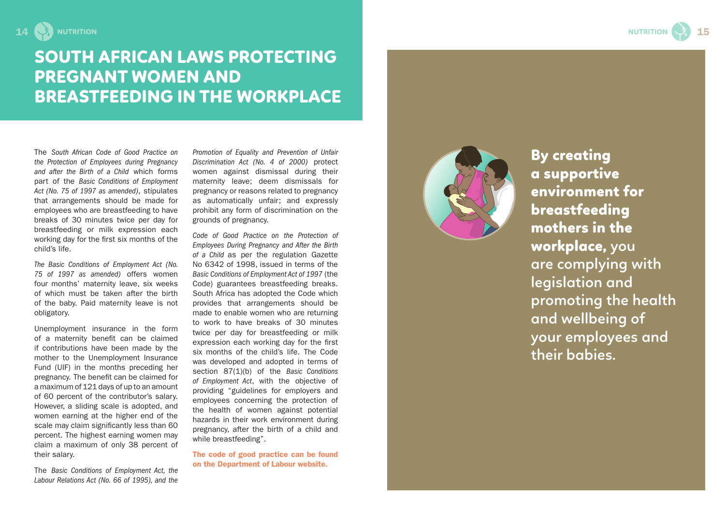



# SOUTH AFRICAN LAWS PROTECTING PREGNANT WOMEN AND BREASTFEEDING IN THE WORKPLACE

The *South African Code of Good Practice on the Protection of Employees during Pregnancy and after the Birth of a Child* which forms part of the *Basic Conditions of Employment Act (No. 75 of 1997 as amended)*, stipulates that arrangements should be made for employees who are breastfeeding to have breaks of 30 minutes twice per day for breastfeeding or milk expression each working day for the first six months of the child's life.

*The Basic Conditions of Employment Act (No. 75 of 1997 as amended)* offers women four months' maternity leave, six weeks of which must be taken after the birth of the baby. Paid maternity leave is not obligatory.

Unemployment insurance in the form of a maternity benefit can be claimed if contributions have been made by the mother to the Unemployment Insurance Fund (UIF) in the months preceding her pregnancy. The benefit can be claimed for a maximum of 121 days of up to an amount of 60 percent of the contributor's salary. However, a sliding scale is adopted, and women earning at the higher end of the scale may claim significantly less than 60 percent. The highest earning women may claim a maximum of only 38 percent of their salary.

The *Basic Conditions of Employment Act, the Labour Relations Act (No. 66 of 1995), and the* 

*Promotion of Equality and Prevention of Unfair Discrimination Act (No. 4 of 2000)* protect women against dismissal during their maternity leave; deem dismissals for pregnancy or reasons related to pregnancy as automatically unfair; and expressly prohibit any form of discrimination on the grounds of pregnancy.

*Code of Good Practice on the Protection of Employees During Pregnancy and After the Birth of a Child* as per the regulation Gazette No 6342 of 1998, issued in terms of the *Basic Conditions of Employment Act of 1997* (the Code) guarantees breastfeeding breaks. South Africa has adopted the Code which provides that arrangements should be made to enable women who are returning to work to have breaks of 30 minutes twice per day for breastfeeding or milk expression each working day for the first six months of the child's life. The Code was developed and adopted in terms of section 87(1)(b) of the *Basic Conditions of Employment Act*, with the objective of providing "guidelines for employers and employees concerning the protection of the health of women against potential hazards in their work environment during pregnancy, after the birth of a child and while breastfeeding".

The code of good practice can be found on the Department of Labour website.



By creating a supportive environment for breastfeeding mothers in the workplace, **you are complying with legislation and promoting the health and wellbeing of your employees and their babies.**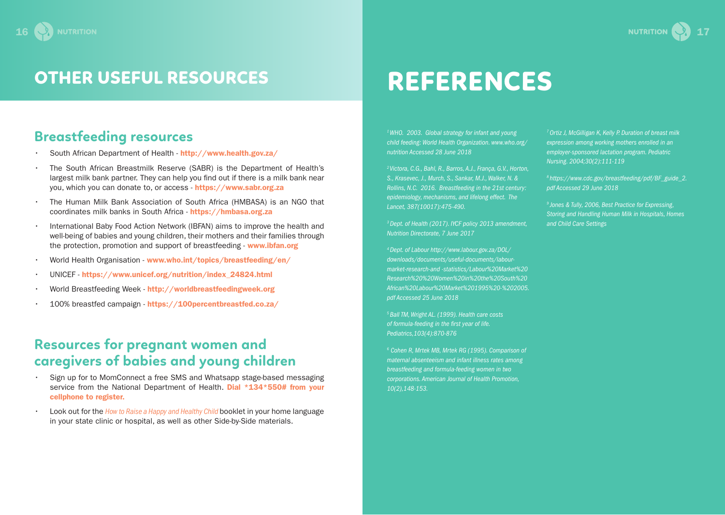# OTHER USEFUL RESOURCES

# **Breastfeeding resources**

- South African Department of Health http://www.health.gov.za/
- The South African Breastmilk Reserve (SABR) is the Department of Health's largest milk bank partner. They can help you find out if there is a milk bank near you, which you can donate to, or access - https://www.sabr.org.za
- The Human Milk Bank Association of South Africa (HMBASA) is an NGO that coordinates milk banks in South Africa - https://hmbasa.org.za
- International Baby Food Action Network (IBFAN) aims to improve the health and well-being of babies and young children, their mothers and their families through the protection, promotion and support of breastfeeding - www.ibfan.org
- World Health Organisation www.who.int/topics/breastfeeding/en/
- UNICEF https://www.unicef.org/nutrition/index\_24824.html
- World Breastfeeding Week http://worldbreastfeedingweek.org
- 100% breastfed campaign https://100percentbreastfed.co.za/

### **Resources for pregnant women and caregivers of babies and young children**

- Sign up for to MomConnect a free SMS and Whatsapp stage-based messaging service from the National Department of Health. Dial \*134\*550# from your cellphone to register.
- Look out for the *How to Raise a Happy and Healthy Child* booklet in your home language in your state clinic or hospital, as well as other Side-by-Side materials.

# REFERENCES

*1 WHO. 2003. Global strategy for infant and young child feeding: World Health Organization. www.who.org/ nutrition Accessed 28 June 2018*

*2 Victora, C.G., Bahl, R., Barros, A.J., França, G.V., Horton, S., Krasevec, J., Murch, S., Sankar, M.J., Walker, N. & Rollins, N.C. 2016. Breastfeeding in the 21st century: epidemiology, mechanisms, and lifelong effect. The Lancet, 387(10017):475-490.*

*3 Dept. of Health (2017). IYCF policy 2013 amendment, Nutrition Directorate, 7 June 2017*

*4 Dept. of Labour http://www.labour.gov.za/DOL/ downloads/documents/useful-documents/labourmarket-research-and -statistics/Labour%20Market%20 Research%20%20Women%20in%20the%20South%20 African%20Labour%20Market%201995%20-%202005. pdf Accessed 25 June 2018*

*5 Ball TM, Wright AL. (1999). Health care costs of formula-feeding in the first year of life. Pediatrics,103(4):870-876*

*6 Cohen R, Mrtek MB, Mrtek RG (1995). Comparison of maternal absenteeism and infant illness rates among breastfeeding and formula-feeding women in two corporations. American Journal of Health Promotion, 10(2),148-153.*

*7 Ortiz J, McGilligan K, Kelly P. Duration of breast milk expression among working mothers enrolled in an employer-sponsored lactation program. Pediatric Nursing. 2004;30(2):111-119*

*8 https://www.cdc.gov/breastfeeding/pdf/BF\_guide\_2. pdf Accessed 29 June 2018*

*9 Jones & Tully, 2006, Best Practice for Expressing, Storing and Handling Human Milk in Hospitals, Homes and Child Care Settings*